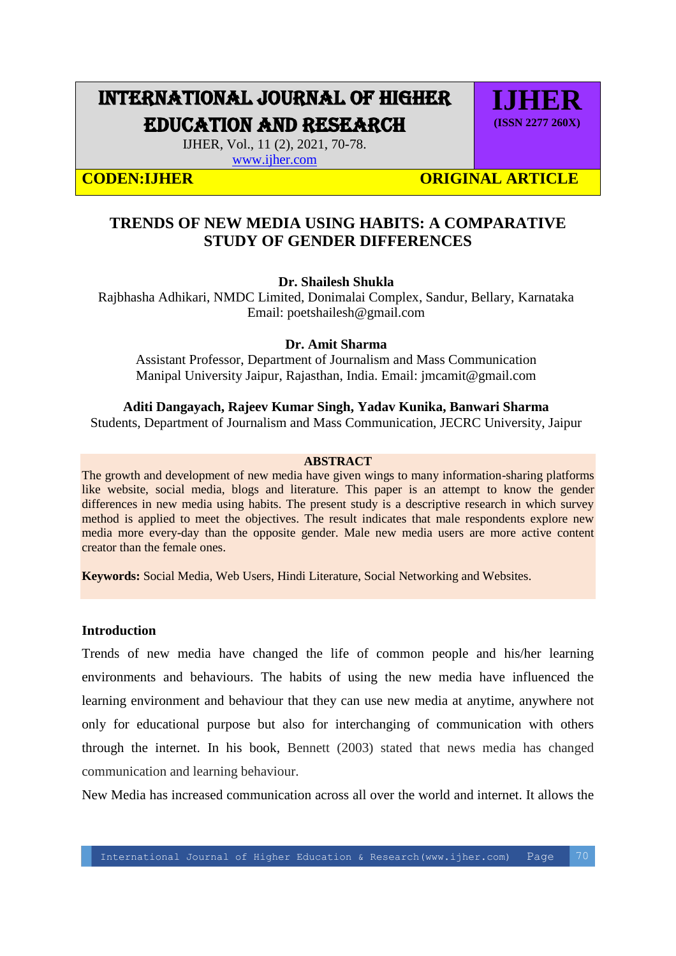# INTERNATIONAL JOURNAL OF HIGHER EDUCATION AND RESEARCH

**IJHER (ISSN 2277 260X)**

IJHER, Vol., 11 (2), 2021, 70-78.

[www.ijher.com](http://www.ijher.com/)

**CODEN:IJHER CODEN:IJHER** ORIGINAL ARTICLE

# **TRENDS OF NEW MEDIA USING HABITS: A COMPARATIVE STUDY OF GENDER DIFFERENCES**

# **Dr. Shailesh Shukla**

Rajbhasha Adhikari, NMDC Limited, Donimalai Complex, Sandur, Bellary, Karnataka Email: poetshailesh@gmail.com

### **Dr. Amit Sharma**

Assistant Professor, Department of Journalism and Mass Communication Manipal University Jaipur, Rajasthan, India. Email: jmcamit@gmail.com

# **Aditi Dangayach, Rajeev Kumar Singh, Yadav Kunika, Banwari Sharma**

Students, Department of Journalism and Mass Communication, JECRC University, Jaipur

### **ABSTRACT**

The growth and development of new media have given wings to many information-sharing platforms like website, social media, blogs and literature. This paper is an attempt to know the gender differences in new media using habits. The present study is a descriptive research in which survey method is applied to meet the objectives. The result indicates that male respondents explore new media more every-day than the opposite gender. Male new media users are more active content creator than the female ones.

**Keywords:** Social Media, Web Users, Hindi Literature, Social Networking and Websites.

### **Introduction**

Trends of new media have changed the life of common people and his/her learning environments and behaviours. The habits of using the new media have influenced the learning environment and behaviour that they can use new media at anytime, anywhere not only for educational purpose but also for interchanging of communication with others through the internet. In his book, Bennett (2003) stated that news media has changed communication and learning behaviour.

New Media has increased communication across all over the world and internet. It allows the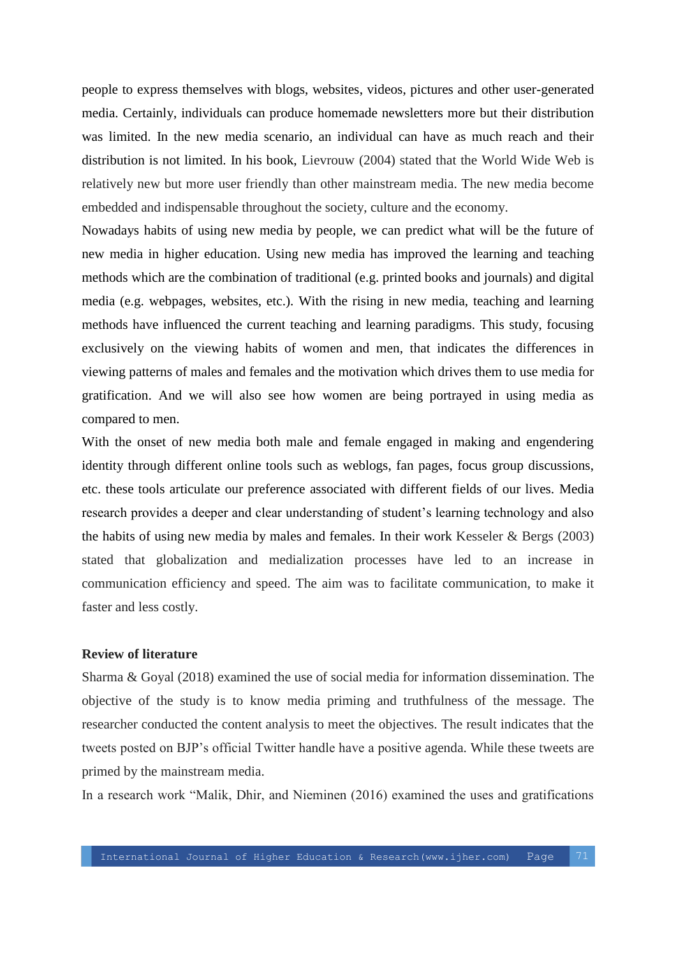people to express themselves with blogs, websites, videos, pictures and other user-generated media. Certainly, individuals can produce homemade newsletters more but their distribution was limited. In the new media scenario, an individual can have as much reach and their distribution is not limited. In his book, Lievrouw (2004) stated that the World Wide Web is relatively new but more user friendly than other mainstream media. The new media become embedded and indispensable throughout the society, culture and the economy.

Nowadays habits of using new media by people, we can predict what will be the future of new media in higher education. Using new media has improved the learning and teaching methods which are the combination of traditional (e.g. printed books and journals) and digital media (e.g. webpages, websites, etc.). With the rising in new media, teaching and learning methods have influenced the current teaching and learning paradigms. This study, focusing exclusively on the viewing habits of women and men, that indicates the differences in viewing patterns of males and females and the motivation which drives them to use media for gratification. And we will also see how women are being portrayed in using media as compared to men.

With the onset of new media both male and female engaged in making and engendering identity through different online tools such as weblogs, fan pages, focus group discussions, etc. these tools articulate our preference associated with different fields of our lives. Media research provides a deeper and clear understanding of student's learning technology and also the habits of using new media by males and females. In their work Kesseler & Bergs (2003) stated that globalization and medialization processes have led to an increase in communication efficiency and speed. The aim was to facilitate communication, to make it faster and less costly.

### **Review of literature**

Sharma & Goyal (2018) examined the use of social media for information dissemination. The objective of the study is to know media priming and truthfulness of the message. The researcher conducted the content analysis to meet the objectives. The result indicates that the tweets posted on BJP's official Twitter handle have a positive agenda. While these tweets are primed by the mainstream media.

In a research work "Malik, Dhir, and Nieminen (2016) examined the uses and gratifications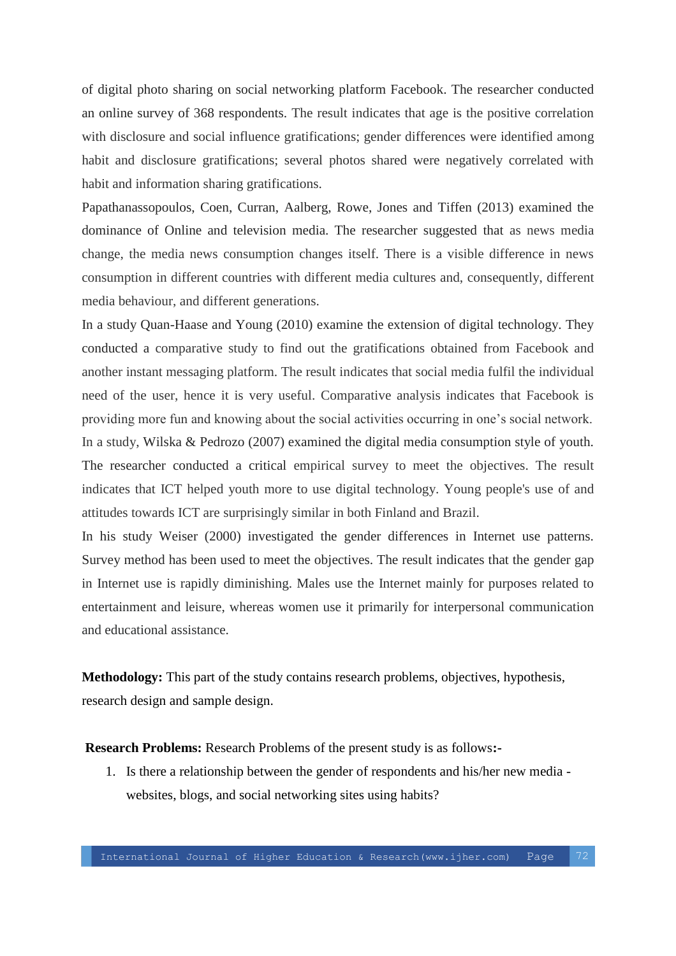of digital photo sharing on social networking platform Facebook. The researcher conducted an online survey of 368 respondents. The result indicates that age is the positive correlation with disclosure and social influence gratifications; gender differences were identified among habit and disclosure gratifications; several photos shared were negatively correlated with habit and information sharing gratifications.

Papathanassopoulos, Coen, Curran, Aalberg, Rowe, Jones and Tiffen (2013) examined the dominance of Online and television media. The researcher suggested that as news media change, the media news consumption changes itself. There is a visible difference in news consumption in different countries with different media cultures and, consequently, different media behaviour, and different generations.

In a study Quan-Haase and Young (2010) examine the extension of digital technology. They conducted a comparative study to find out the gratifications obtained from Facebook and another instant messaging platform. The result indicates that social media fulfil the individual need of the user, hence it is very useful. Comparative analysis indicates that Facebook is providing more fun and knowing about the social activities occurring in one's social network. In a study, Wilska & Pedrozo (2007) examined the digital media consumption style of youth. The researcher conducted a critical empirical survey to meet the objectives. The result indicates that ICT helped youth more to use digital technology. Young people's use of and attitudes towards ICT are surprisingly similar in both Finland and Brazil.

In his study Weiser (2000) investigated the gender differences in Internet use patterns. Survey method has been used to meet the objectives. The result indicates that the gender gap in Internet use is rapidly diminishing. Males use the Internet mainly for purposes related to entertainment and leisure, whereas women use it primarily for interpersonal communication and educational assistance.

**Methodology:** This part of the study contains research problems, objectives, hypothesis, research design and sample design.

**Research Problems:** Research Problems of the present study is as follows**:-**

1. Is there a relationship between the gender of respondents and his/her new media websites, blogs, and social networking sites using habits?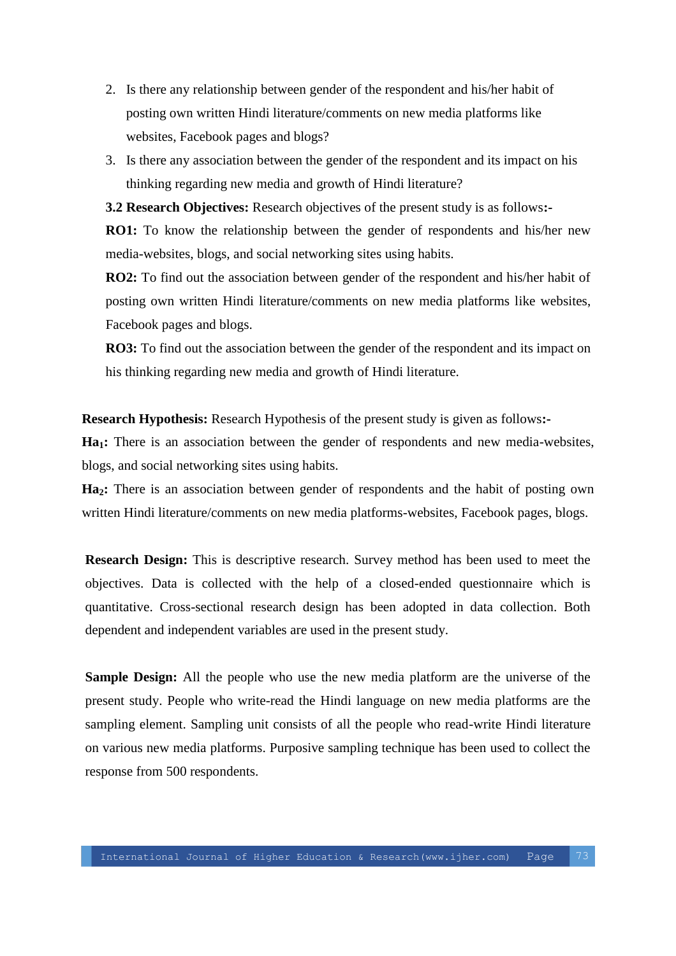- 2. Is there any relationship between gender of the respondent and his/her habit of posting own written Hindi literature/comments on new media platforms like websites, Facebook pages and blogs?
- 3. Is there any association between the gender of the respondent and its impact on his thinking regarding new media and growth of Hindi literature?

**3.2 Research Objectives:** Research objectives of the present study is as follows**:- RO1:** To know the relationship between the gender of respondents and his/her new

**RO2:** To find out the association between gender of the respondent and his/her habit of posting own written Hindi literature/comments on new media platforms like websites, Facebook pages and blogs.

**RO3:** To find out the association between the gender of the respondent and its impact on his thinking regarding new media and growth of Hindi literature.

**Research Hypothesis:** Research Hypothesis of the present study is given as follows**:-**

media-websites, blogs, and social networking sites using habits.

**Ha1:** There is an association between the gender of respondents and new media-websites, blogs, and social networking sites using habits.

**Ha2:** There is an association between gender of respondents and the habit of posting own written Hindi literature/comments on new media platforms-websites, Facebook pages, blogs.

**Research Design:** This is descriptive research. Survey method has been used to meet the objectives. Data is collected with the help of a closed-ended questionnaire which is quantitative. Cross-sectional research design has been adopted in data collection. Both dependent and independent variables are used in the present study.

**Sample Design:** All the people who use the new media platform are the universe of the present study. People who write-read the Hindi language on new media platforms are the sampling element. Sampling unit consists of all the people who read-write Hindi literature on various new media platforms. Purposive sampling technique has been used to collect the response from 500 respondents.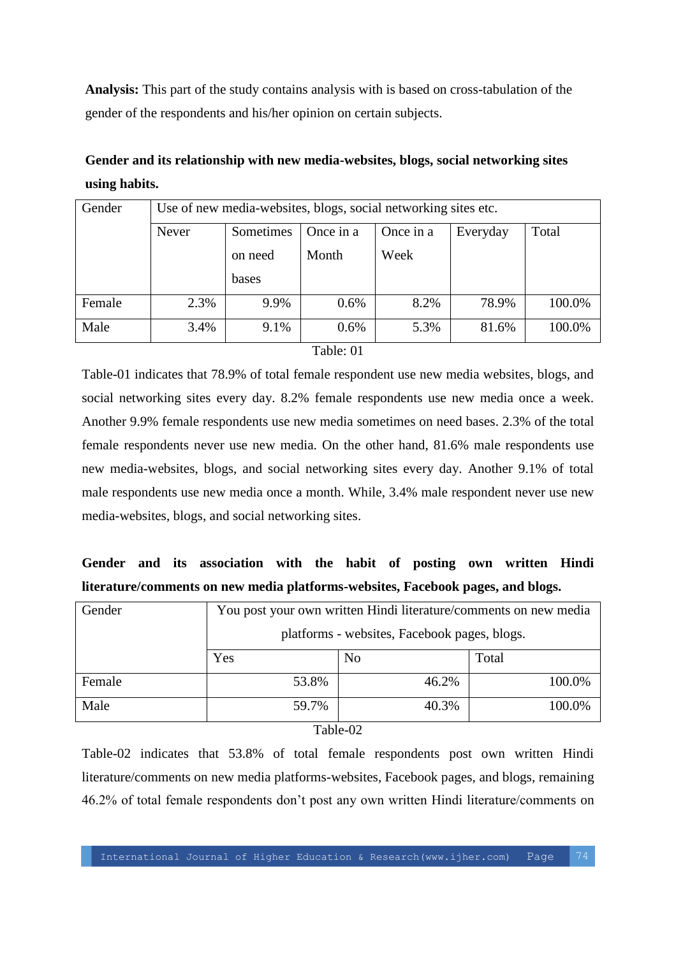**Analysis:** This part of the study contains analysis with is based on cross-tabulation of the gender of the respondents and his/her opinion on certain subjects.

**Gender and its relationship with new media-websites, blogs, social networking sites using habits.**

| Gender | Use of new media-websites, blogs, social networking sites etc. |           |           |           |          |        |
|--------|----------------------------------------------------------------|-----------|-----------|-----------|----------|--------|
|        | Never                                                          | Sometimes | Once in a | Once in a | Everyday | Total  |
|        |                                                                | on need   | Month     | Week      |          |        |
|        |                                                                | bases     |           |           |          |        |
| Female | 2.3%                                                           | 9.9%      | 0.6%      | 8.2%      | 78.9%    | 100.0% |
| Male   | 3.4%                                                           | 9.1%      | 0.6%      | 5.3%      | 81.6%    | 100.0% |

### Table: 01

Table-01 indicates that 78.9% of total female respondent use new media websites, blogs, and social networking sites every day. 8.2% female respondents use new media once a week. Another 9.9% female respondents use new media sometimes on need bases. 2.3% of the total female respondents never use new media. On the other hand, 81.6% male respondents use new media-websites, blogs, and social networking sites every day. Another 9.1% of total male respondents use new media once a month. While, 3.4% male respondent never use new media-websites, blogs, and social networking sites.

# **Gender and its association with the habit of posting own written Hindi literature/comments on new media platforms-websites, Facebook pages, and blogs.**

| Gender | You post your own written Hindi literature/comments on new media |                |        |
|--------|------------------------------------------------------------------|----------------|--------|
|        | platforms - websites, Facebook pages, blogs.                     |                |        |
|        | Yes                                                              | N <sub>o</sub> | Total  |
| Female | 53.8%                                                            | 46.2%          | 100.0% |
| Male   | 59.7%                                                            | 40.3%          | 100.0% |

#### Table-02

Table-02 indicates that 53.8% of total female respondents post own written Hindi literature/comments on new media platforms-websites, Facebook pages, and blogs, remaining 46.2% of total female respondents don't post any own written Hindi literature/comments on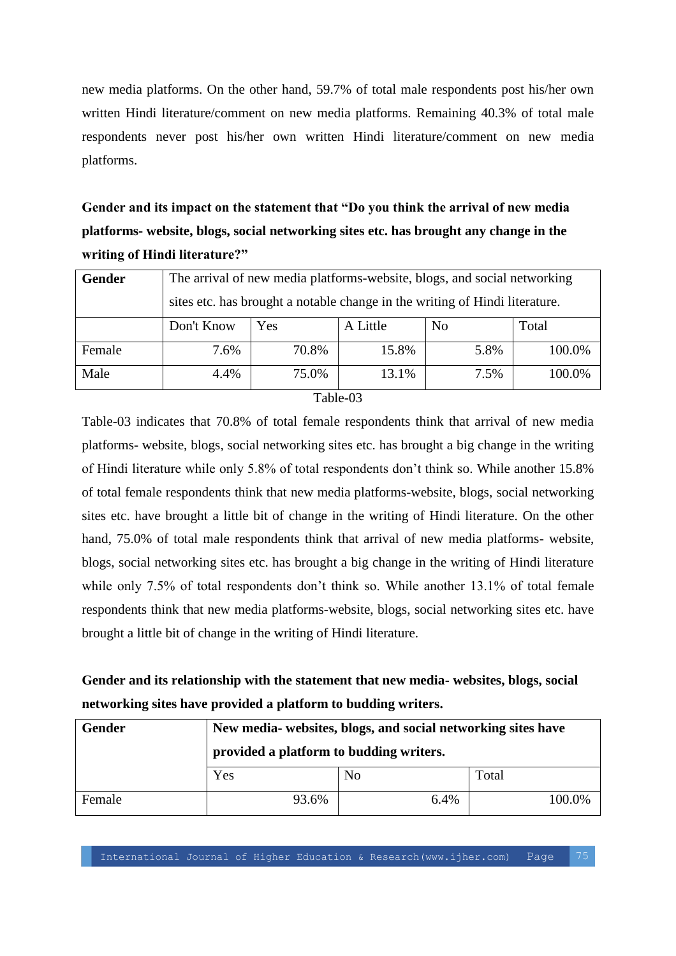new media platforms. On the other hand, 59.7% of total male respondents post his/her own written Hindi literature/comment on new media platforms. Remaining 40.3% of total male respondents never post his/her own written Hindi literature/comment on new media platforms.

**Gender and its impact on the statement that "Do you think the arrival of new media platforms- website, blogs, social networking sites etc. has brought any change in the writing of Hindi literature?"**

| Gender | The arrival of new media platforms-website, blogs, and social networking    |       |          |                |        |
|--------|-----------------------------------------------------------------------------|-------|----------|----------------|--------|
|        | sites etc. has brought a notable change in the writing of Hindi literature. |       |          |                |        |
|        | Don't Know                                                                  | Yes   | A Little | N <sub>0</sub> | Total  |
| Female | 7.6%                                                                        | 70.8% | 15.8%    | 5.8%           | 100.0% |
| Male   | 4.4%                                                                        | 75.0% | 13.1%    | 7.5%           | 100.0% |

### Table-03

Table-03 indicates that 70.8% of total female respondents think that arrival of new media platforms- website, blogs, social networking sites etc. has brought a big change in the writing of Hindi literature while only 5.8% of total respondents don't think so. While another 15.8% of total female respondents think that new media platforms-website, blogs, social networking sites etc. have brought a little bit of change in the writing of Hindi literature. On the other hand, 75.0% of total male respondents think that arrival of new media platforms- website, blogs, social networking sites etc. has brought a big change in the writing of Hindi literature while only 7.5% of total respondents don't think so. While another 13.1% of total female respondents think that new media platforms-website, blogs, social networking sites etc. have brought a little bit of change in the writing of Hindi literature.

# **Gender and its relationship with the statement that new media- websites, blogs, social networking sites have provided a platform to budding writers.**

| <b>Gender</b> | New media- websites, blogs, and social networking sites have |                |        |  |  |
|---------------|--------------------------------------------------------------|----------------|--------|--|--|
|               | provided a platform to budding writers.                      |                |        |  |  |
|               | Yes                                                          | N <sub>0</sub> | Total  |  |  |
| Female        | 93.6%                                                        | 6.4%           | 100.0% |  |  |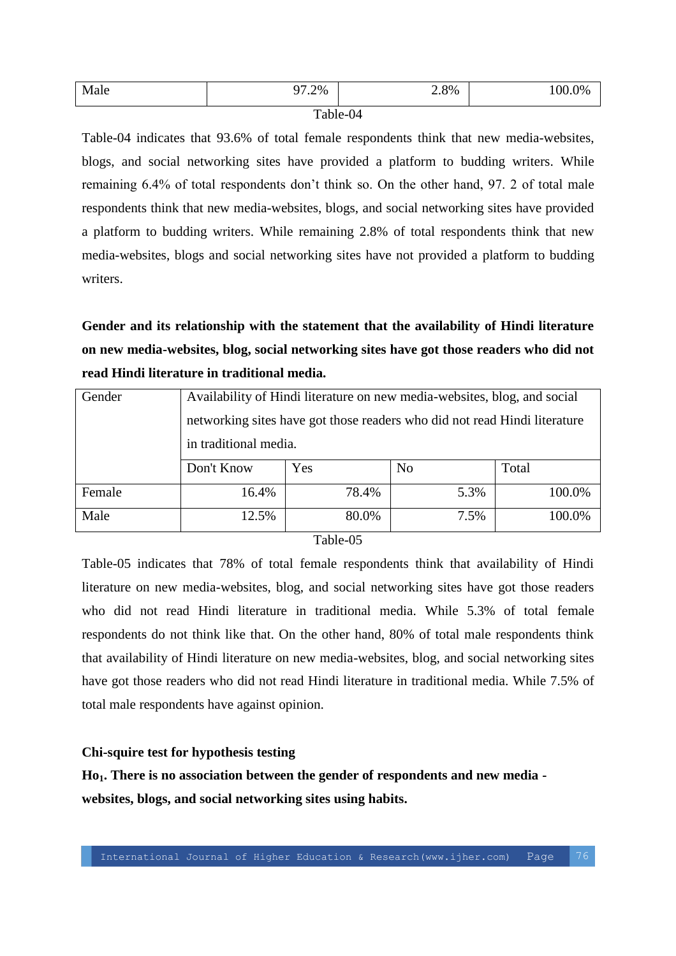| Male | 97.2% | 2.8% | $\gamma$ %<br>. |  |
|------|-------|------|-----------------|--|
|      |       |      |                 |  |

#### Table-04

Table-04 indicates that 93.6% of total female respondents think that new media-websites, blogs, and social networking sites have provided a platform to budding writers. While remaining 6.4% of total respondents don't think so. On the other hand, 97. 2 of total male respondents think that new media-websites, blogs, and social networking sites have provided a platform to budding writers. While remaining 2.8% of total respondents think that new media-websites, blogs and social networking sites have not provided a platform to budding writers.

**Gender and its relationship with the statement that the availability of Hindi literature on new media-websites, blog, social networking sites have got those readers who did not read Hindi literature in traditional media.**

| Gender | Availability of Hindi literature on new media-websites, blog, and social  |       |                |        |  |
|--------|---------------------------------------------------------------------------|-------|----------------|--------|--|
|        | networking sites have got those readers who did not read Hindi literature |       |                |        |  |
|        | in traditional media.                                                     |       |                |        |  |
|        | Don't Know                                                                | Yes   | N <sub>0</sub> | Total  |  |
| Female | 16.4%                                                                     | 78.4% | 5.3%           | 100.0% |  |
| Male   | 12.5%                                                                     | 80.0% | 7.5%           | 100.0% |  |

Table-05

Table-05 indicates that 78% of total female respondents think that availability of Hindi literature on new media-websites, blog, and social networking sites have got those readers who did not read Hindi literature in traditional media. While 5.3% of total female respondents do not think like that. On the other hand, 80% of total male respondents think that availability of Hindi literature on new media-websites, blog, and social networking sites have got those readers who did not read Hindi literature in traditional media. While 7.5% of total male respondents have against opinion.

### **Chi-squire test for hypothesis testing**

**Ho1. There is no association between the gender of respondents and new media websites, blogs, and social networking sites using habits.**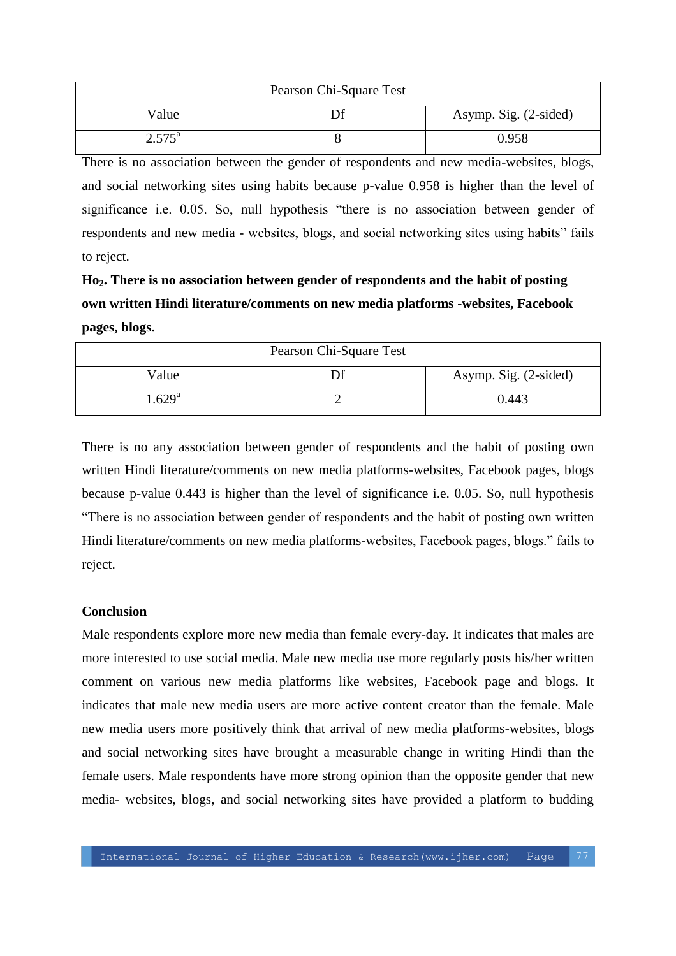| Pearson Chi-Square Test |  |                       |  |  |
|-------------------------|--|-----------------------|--|--|
| Value                   |  | Asymp. Sig. (2-sided) |  |  |
| $2.575^{\rm a}$         |  | 0.958                 |  |  |

There is no association between the gender of respondents and new media-websites, blogs, and social networking sites using habits because p-value 0.958 is higher than the level of significance i.e. 0.05. So, null hypothesis "there is no association between gender of respondents and new media - websites, blogs, and social networking sites using habits" fails to reject.

**Ho2. There is no association between gender of respondents and the habit of posting own written Hindi literature/comments on new media platforms -websites, Facebook pages, blogs.**

| Pearson Chi-Square Test |    |                       |  |  |
|-------------------------|----|-----------------------|--|--|
| Value                   | Эf | Asymp. Sig. (2-sided) |  |  |
| $1.629$ <sup>a</sup>    |    | 0.443                 |  |  |

There is no any association between gender of respondents and the habit of posting own written Hindi literature/comments on new media platforms-websites, Facebook pages, blogs because p-value 0.443 is higher than the level of significance i.e. 0.05. So, null hypothesis "There is no association between gender of respondents and the habit of posting own written Hindi literature/comments on new media platforms-websites, Facebook pages, blogs." fails to reject.

### **Conclusion**

Male respondents explore more new media than female every-day. It indicates that males are more interested to use social media. Male new media use more regularly posts his/her written comment on various new media platforms like websites, Facebook page and blogs. It indicates that male new media users are more active content creator than the female. Male new media users more positively think that arrival of new media platforms-websites, blogs and social networking sites have brought a measurable change in writing Hindi than the female users. Male respondents have more strong opinion than the opposite gender that new media- websites, blogs, and social networking sites have provided a platform to budding